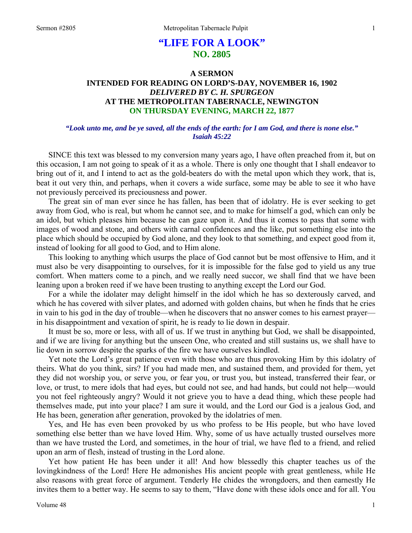# **"LIFE FOR A LOOK" NO. 2805**

# **A SERMON INTENDED FOR READING ON LORD'S-DAY, NOVEMBER 16, 1902**  *DELIVERED BY C. H. SPURGEON*  **AT THE METROPOLITAN TABERNACLE, NEWINGTON ON THURSDAY EVENING, MARCH 22, 1877**

### *"Look unto me, and be ye saved, all the ends of the earth: for I am God, and there is none else." Isaiah 45:22*

SINCE this text was blessed to my conversion many years ago, I have often preached from it, but on this occasion, I am not going to speak of it as a whole. There is only one thought that I shall endeavor to bring out of it, and I intend to act as the gold-beaters do with the metal upon which they work, that is, beat it out very thin, and perhaps, when it covers a wide surface, some may be able to see it who have not previously perceived its preciousness and power.

The great sin of man ever since he has fallen, has been that of idolatry. He is ever seeking to get away from God, who is real, but whom he cannot see, and to make for himself a god, which can only be an idol, but which pleases him because he can gaze upon it. And thus it comes to pass that some with images of wood and stone, and others with carnal confidences and the like, put something else into the place which should be occupied by God alone, and they look to that something, and expect good from it, instead of looking for all good to God, and to Him alone.

This looking to anything which usurps the place of God cannot but be most offensive to Him, and it must also be very disappointing to ourselves, for it is impossible for the false god to yield us any true comfort. When matters come to a pinch, and we really need succor, we shall find that we have been leaning upon a broken reed if we have been trusting to anything except the Lord our God.

For a while the idolater may delight himself in the idol which he has so dexterously carved, and which he has covered with silver plates, and adorned with golden chains, but when he finds that he cries in vain to his god in the day of trouble—when he discovers that no answer comes to his earnest prayer in his disappointment and vexation of spirit, he is ready to lie down in despair.

It must be so, more or less, with all of us. If we trust in anything but God, we shall be disappointed, and if we are living for anything but the unseen One, who created and still sustains us, we shall have to lie down in sorrow despite the sparks of the fire we have ourselves kindled.

Yet note the Lord's great patience even with those who are thus provoking Him by this idolatry of theirs. What do you think, sirs? If you had made men, and sustained them, and provided for them, yet they did not worship you, or serve you, or fear you, or trust you, but instead, transferred their fear, or love, or trust, to mere idols that had eyes, but could not see, and had hands, but could not help—would you not feel righteously angry? Would it not grieve you to have a dead thing, which these people had themselves made, put into your place? I am sure it would, and the Lord our God is a jealous God, and He has been, generation after generation, provoked by the idolatries of men.

Yes, and He has even been provoked by us who profess to be His people, but who have loved something else better than we have loved Him. Why, some of us have actually trusted ourselves more than we have trusted the Lord, and sometimes, in the hour of trial, we have fled to a friend, and relied upon an arm of flesh, instead of trusting in the Lord alone.

Yet how patient He has been under it all! And how blessedly this chapter teaches us of the lovingkindness of the Lord! Here He admonishes His ancient people with great gentleness, while He also reasons with great force of argument. Tenderly He chides the wrongdoers, and then earnestly He invites them to a better way. He seems to say to them, "Have done with these idols once and for all. You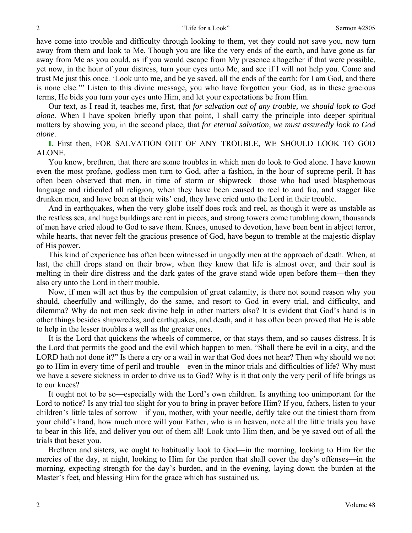have come into trouble and difficulty through looking to them, yet they could not save you, now turn away from them and look to Me. Though you are like the very ends of the earth, and have gone as far away from Me as you could, as if you would escape from My presence altogether if that were possible, yet now, in the hour of your distress, turn your eyes unto Me, and see if I will not help you. Come and trust Me just this once. 'Look unto me, and be ye saved, all the ends of the earth: for I am God, and there is none else.'" Listen to this divine message, you who have forgotten your God, as in these gracious terms, He bids you turn your eyes unto Him, and let your expectations be from Him.

Our text, as I read it, teaches me, first, that *for salvation out of any trouble, we should look to God alone*. When I have spoken briefly upon that point, I shall carry the principle into deeper spiritual matters by showing you, in the second place, that *for eternal salvation, we must assuredly look to God alone*.

**I.** First then, FOR SALVATION OUT OF ANY TROUBLE, WE SHOULD LOOK TO GOD ALONE.

You know, brethren, that there are some troubles in which men do look to God alone. I have known even the most profane, godless men turn to God, after a fashion, in the hour of supreme peril. It has often been observed that men, in time of storm or shipwreck—those who had used blasphemous language and ridiculed all religion, when they have been caused to reel to and fro, and stagger like drunken men, and have been at their wits' end, they have cried unto the Lord in their trouble.

And in earthquakes, when the very globe itself does rock and reel, as though it were as unstable as the restless sea, and huge buildings are rent in pieces, and strong towers come tumbling down, thousands of men have cried aloud to God to save them. Knees, unused to devotion, have been bent in abject terror, while hearts, that never felt the gracious presence of God, have begun to tremble at the majestic display of His power.

This kind of experience has often been witnessed in ungodly men at the approach of death. When, at last, the chill drops stand on their brow, when they know that life is almost over, and their soul is melting in their dire distress and the dark gates of the grave stand wide open before them—then they also cry unto the Lord in their trouble.

Now, if men will act thus by the compulsion of great calamity, is there not sound reason why you should, cheerfully and willingly, do the same, and resort to God in every trial, and difficulty, and dilemma? Why do not men seek divine help in other matters also? It is evident that God's hand is in other things besides shipwrecks, and earthquakes, and death, and it has often been proved that He is able to help in the lesser troubles a well as the greater ones.

It is the Lord that quickens the wheels of commerce, or that stays them, and so causes distress. It is the Lord that permits the good and the evil which happen to men. "Shall there be evil in a city, and the LORD hath not done it?" Is there a cry or a wail in war that God does not hear? Then why should we not go to Him in every time of peril and trouble—even in the minor trials and difficulties of life? Why must we have a severe sickness in order to drive us to God? Why is it that only the very peril of life brings us to our knees?

It ought not to be so—especially with the Lord's own children. Is anything too unimportant for the Lord to notice? Is any trial too slight for you to bring in prayer before Him? If you, fathers, listen to your children's little tales of sorrow—if you, mother, with your needle, deftly take out the tiniest thorn from your child's hand, how much more will your Father, who is in heaven, note all the little trials you have to bear in this life, and deliver you out of them all! Look unto Him then, and be ye saved out of all the trials that beset you.

Brethren and sisters, we ought to habitually look to God—in the morning, looking to Him for the mercies of the day, at night, looking to Him for the pardon that shall cover the day's offenses—in the morning, expecting strength for the day's burden, and in the evening, laying down the burden at the Master's feet, and blessing Him for the grace which has sustained us.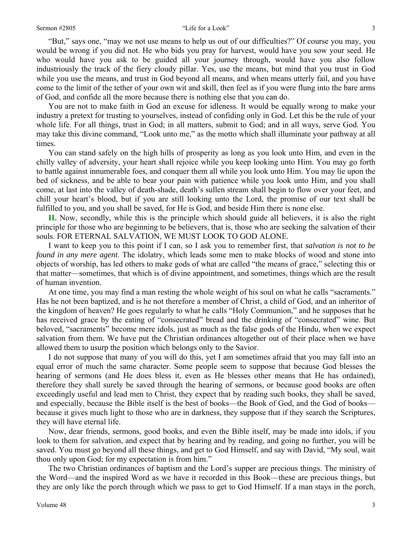"But," says one, "may we not use means to help us out of our difficulties?" Of course you may, you would be wrong if you did not. He who bids you pray for harvest, would have you sow your seed. He who would have you ask to be guided all your journey through, would have you also follow industriously the track of the fiery cloudy pillar. Yes, use the means, but mind that you trust in God while you use the means, and trust in God beyond all means, and when means utterly fail, and you have come to the limit of the tether of your own wit and skill, then feel as if you were flung into the bare arms of God, and confide all the more because there is nothing else that you can do.

You are not to make faith in God an excuse for idleness. It would be equally wrong to make your industry a pretext for trusting to yourselves, instead of confiding only in God. Let this be the rule of your whole life. For all things, trust in God; in all matters, submit to God; and in all ways, serve God. You may take this divine command, "Look unto me," as the motto which shall illuminate your pathway at all times.

You can stand safely on the high hills of prosperity as long as you look unto Him, and even in the chilly valley of adversity, your heart shall rejoice while you keep looking unto Him. You may go forth to battle against innumerable foes, and conquer them all while you look unto Him. You may lie upon the bed of sickness, and be able to bear your pain with patience while you look unto Him, and you shall come, at last into the valley of death-shade, death's sullen stream shall begin to flow over your feet, and chill your heart's blood, but if you are still looking unto the Lord, the promise of our text shall be fulfilled to you, and you shall be saved, for He is God, and beside Him there is none else.

**II.** Now, secondly, while this is the principle which should guide all believers, it is also the right principle for those who are beginning to be believers, that is, those who are seeking the salvation of their souls. FOR ETERNAL SALVATION, WE MUST LOOK TO GOD ALONE.

I want to keep you to this point if I can, so I ask you to remember first, that *salvation is not to be found in any mere agent*. The idolatry, which leads some men to make blocks of wood and stone into objects of worship, has led others to make gods of what are called "the means of grace," selecting this or that matter—sometimes, that which is of divine appointment, and sometimes, things which are the result of human invention.

At one time, you may find a man resting the whole weight of his soul on what he calls "sacraments." Has he not been baptized, and is he not therefore a member of Christ, a child of God, and an inheritor of the kingdom of heaven? He goes regularly to what he calls "Holy Communion," and he supposes that he has received grace by the eating of "consecrated" bread and the drinking of "consecrated" wine. But beloved, "sacraments" become mere idols, just as much as the false gods of the Hindu, when we expect salvation from them. We have put the Christian ordinances altogether out of their place when we have allowed them to usurp the position which belongs only to the Savior.

I do not suppose that many of you will do this, yet I am sometimes afraid that you may fall into an equal error of much the same character. Some people seem to suppose that because God blesses the hearing of sermons (and He does bless it, even as He blesses other means that He has ordained), therefore they shall surely be saved through the hearing of sermons, or because good books are often exceedingly useful and lead men to Christ, they expect that by reading such books, they shall be saved, and especially, because the Bible itself is the best of books—the Book of God, and the God of books because it gives much light to those who are in darkness, they suppose that if they search the Scriptures, they will have eternal life.

Now, dear friends, sermons, good books, and even the Bible itself, may be made into idols, if you look to them for salvation, and expect that by hearing and by reading, and going no further, you will be saved. You must go beyond all these things, and get to God Himself, and say with David, "My soul, wait thou only upon God; for my expectation is from him."

The two Christian ordinances of baptism and the Lord's supper are precious things. The ministry of the Word—and the inspired Word as we have it recorded in this Book—these are precious things, but they are only like the porch through which we pass to get to God Himself. If a man stays in the porch,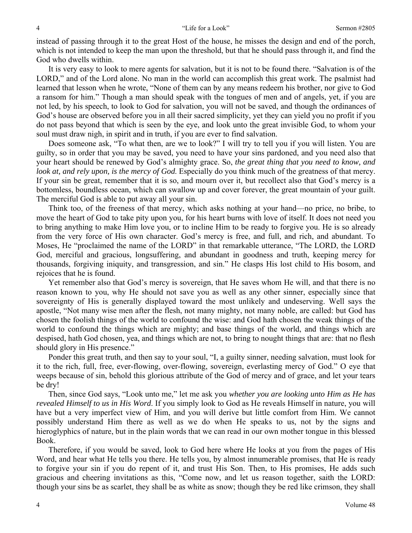instead of passing through it to the great Host of the house, he misses the design and end of the porch, which is not intended to keep the man upon the threshold, but that he should pass through it, and find the God who dwells within.

It is very easy to look to mere agents for salvation, but it is not to be found there. "Salvation is of the LORD," and of the Lord alone. No man in the world can accomplish this great work. The psalmist had learned that lesson when he wrote, "None of them can by any means redeem his brother, nor give to God a ransom for him." Though a man should speak with the tongues of men and of angels, yet, if you are not led, by his speech, to look to God for salvation, you will not be saved, and though the ordinances of God's house are observed before you in all their sacred simplicity, yet they can yield you no profit if you do not pass beyond that which is seen by the eye, and look unto the great invisible God, to whom your soul must draw nigh, in spirit and in truth, if you are ever to find salvation.

Does someone ask, "To what then, are we to look?" I will try to tell you if you will listen. You are guilty, so in order that you may be saved, you need to have your sins pardoned, and you need also that your heart should be renewed by God's almighty grace. So, *the great thing that you need to know, and look at, and rely upon, is the mercy of God*. Especially do you think much of the greatness of that mercy. If your sin be great, remember that it is so, and mourn over it, but recollect also that God's mercy is a bottomless, boundless ocean, which can swallow up and cover forever, the great mountain of your guilt. The merciful God is able to put away all your sin.

Think too, of the freeness of that mercy, which asks nothing at your hand—no price, no bribe, to move the heart of God to take pity upon you, for his heart burns with love of itself. It does not need you to bring anything to make Him love you, or to incline Him to be ready to forgive you. He is so already from the very force of His own character. God's mercy is free, and full, and rich, and abundant. To Moses, He "proclaimed the name of the LORD" in that remarkable utterance, "The LORD, the LORD God, merciful and gracious, longsuffering, and abundant in goodness and truth, keeping mercy for thousands, forgiving iniquity, and transgression, and sin." He clasps His lost child to His bosom, and rejoices that he is found.

Yet remember also that God's mercy is sovereign, that He saves whom He will, and that there is no reason known to you, why He should not save you as well as any other sinner, especially since that sovereignty of His is generally displayed toward the most unlikely and undeserving. Well says the apostle, "Not many wise men after the flesh, not many mighty, not many noble, are called: but God has chosen the foolish things of the world to confound the wise: and God hath chosen the weak things of the world to confound the things which are mighty; and base things of the world, and things which are despised, hath God chosen, yea, and things which are not, to bring to nought things that are: that no flesh should glory in His presence."

Ponder this great truth, and then say to your soul, "I, a guilty sinner, needing salvation, must look for it to the rich, full, free, ever-flowing, over-flowing, sovereign, everlasting mercy of God." O eye that weeps because of sin, behold this glorious attribute of the God of mercy and of grace, and let your tears be dry!

Then, since God says, "Look unto me," let me ask you *whether you are looking unto Him as He has revealed Himself to us in His Word*. If you simply look to God as He reveals Himself in nature, you will have but a very imperfect view of Him, and you will derive but little comfort from Him. We cannot possibly understand Him there as well as we do when He speaks to us, not by the signs and hieroglyphics of nature, but in the plain words that we can read in our own mother tongue in this blessed Book.

Therefore, if you would be saved, look to God here where He looks at you from the pages of His Word, and hear what He tells you there. He tells you, by almost innumerable promises, that He is ready to forgive your sin if you do repent of it, and trust His Son. Then, to His promises, He adds such gracious and cheering invitations as this, "Come now, and let us reason together, saith the LORD: though your sins be as scarlet, they shall be as white as snow; though they be red like crimson, they shall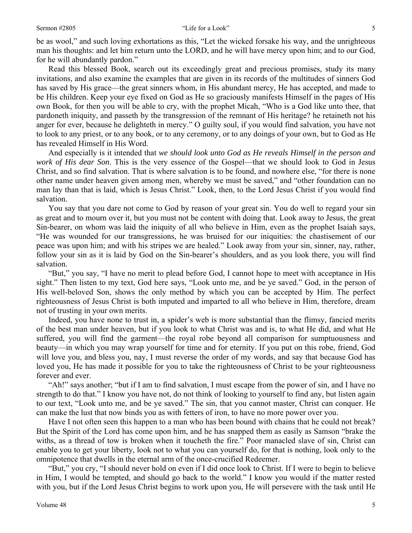#### Sermon #2805 Sermon #2805 Sermon #2805 Sermon #2805 Sermon #2805 S

be as wool," and such loving exhortations as this, "Let the wicked forsake his way, and the unrighteous man his thoughts: and let him return unto the LORD, and he will have mercy upon him; and to our God, for he will abundantly pardon."

Read this blessed Book, search out its exceedingly great and precious promises, study its many invitations, and also examine the examples that are given in its records of the multitudes of sinners God has saved by His grace—the great sinners whom, in His abundant mercy, He has accepted, and made to be His children. Keep your eye fixed on God as He so graciously manifests Himself in the pages of His own Book, for then you will be able to cry, with the prophet Micah, "Who is a God like unto thee, that pardoneth iniquity, and passeth by the transgression of the remnant of His heritage? he retaineth not his anger for ever, because he delighteth in mercy." O guilty soul, if you would find salvation, you have not to look to any priest, or to any book, or to any ceremony, or to any doings of your own, but to God as He has revealed Himself in His Word.

And especially is it intended that *we should look unto God as He reveals Himself in the person and work of His dear Son*. This is the very essence of the Gospel—that we should look to God in Jesus Christ, and so find salvation. That is where salvation is to be found, and nowhere else, "for there is none other name under heaven given among men, whereby we must be saved," and "other foundation can no man lay than that is laid, which is Jesus Christ." Look, then, to the Lord Jesus Christ if you would find salvation.

You say that you dare not come to God by reason of your great sin. You do well to regard your sin as great and to mourn over it, but you must not be content with doing that. Look away to Jesus, the great Sin-bearer, on whom was laid the iniquity of all who believe in Him, even as the prophet Isaiah says, "He was wounded for our transgressions, he was bruised for our iniquities: the chastisement of our peace was upon him; and with his stripes we are healed." Look away from your sin, sinner, nay, rather, follow your sin as it is laid by God on the Sin-bearer's shoulders, and as you look there, you will find salvation.

"But," you say, "I have no merit to plead before God, I cannot hope to meet with acceptance in His sight." Then listen to my text, God here says, "Look unto me, and be ye saved." God, in the person of His well-beloved Son, shows the only method by which you can be accepted by Him. The perfect righteousness of Jesus Christ is both imputed and imparted to all who believe in Him, therefore, dream not of trusting in your own merits.

Indeed, you have none to trust in, a spider's web is more substantial than the flimsy, fancied merits of the best man under heaven, but if you look to what Christ was and is, to what He did, and what He suffered, you will find the garment—the royal robe beyond all comparison for sumptuousness and beauty—in which you may wrap yourself for time and for eternity. If you put on this robe, friend, God will love you, and bless you, nay, I must reverse the order of my words, and say that because God has loved you, He has made it possible for you to take the righteousness of Christ to be your righteousness forever and ever.

"Ah!" says another; "but if I am to find salvation, I must escape from the power of sin, and I have no strength to do that." I know you have not, do not think of looking to yourself to find any, but listen again to our text, "Look unto me, and be ye saved." The sin, that you cannot master, Christ can conquer. He can make the lust that now binds you as with fetters of iron, to have no more power over you.

Have I not often seen this happen to a man who has been bound with chains that he could not break? But the Spirit of the Lord has come upon him, and he has snapped them as easily as Samson "brake the withs, as a thread of tow is broken when it toucheth the fire." Poor manacled slave of sin, Christ can enable you to get your liberty, look not to what you can yourself do, for that is nothing, look only to the omnipotence that dwells in the eternal arm of the once-crucified Redeemer.

"But," you cry, "I should never hold on even if I did once look to Christ. If I were to begin to believe in Him, I would be tempted, and should go back to the world." I know you would if the matter rested with you, but if the Lord Jesus Christ begins to work upon you, He will persevere with the task until He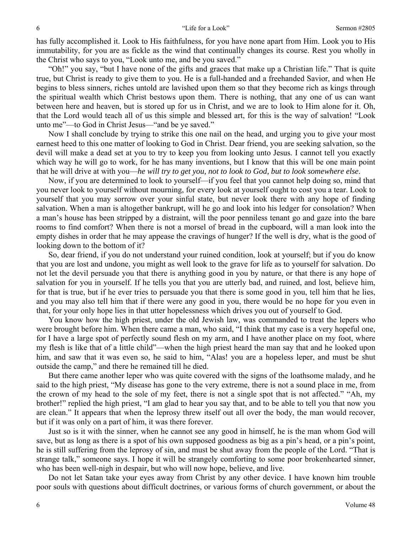has fully accomplished it. Look to His faithfulness, for you have none apart from Him. Look you to His immutability, for you are as fickle as the wind that continually changes its course. Rest you wholly in the Christ who says to you, "Look unto me, and be you saved."

"Oh!" you say, "but I have none of the gifts and graces that make up a Christian life." That is quite true, but Christ is ready to give them to you. He is a full-handed and a freehanded Savior, and when He begins to bless sinners, riches untold are lavished upon them so that they become rich as kings through the spiritual wealth which Christ bestows upon them. There is nothing, that any one of us can want between here and heaven, but is stored up for us in Christ, and we are to look to Him alone for it. Oh, that the Lord would teach all of us this simple and blessed art, for this is the way of salvation! "Look unto me"—to God in Christ Jesus—"and be ye saved."

Now I shall conclude by trying to strike this one nail on the head, and urging you to give your most earnest heed to this one matter of looking to God in Christ. Dear friend, you are seeking salvation, so the devil will make a dead set at you to try to keep you from looking unto Jesus. I cannot tell you exactly which way he will go to work, for he has many inventions, but I know that this will be one main point that he will drive at with you—*he will try to get you, not to look to God, but to look somewhere else*.

Now, if you are determined to look to yourself—if you feel that you cannot help doing so, mind that you never look to yourself without mourning, for every look at yourself ought to cost you a tear. Look to yourself that you may sorrow over your sinful state, but never look there with any hope of finding salvation. When a man is altogether bankrupt, will he go and look into his ledger for consolation? When a man's house has been stripped by a distraint, will the poor penniless tenant go and gaze into the bare rooms to find comfort? When there is not a morsel of bread in the cupboard, will a man look into the empty dishes in order that he may appease the cravings of hunger? If the well is dry, what is the good of looking down to the bottom of it?

So, dear friend, if you do not understand your ruined condition, look at yourself; but if you do know that you are lost and undone, you might as well look to the grave for life as to yourself for salvation. Do not let the devil persuade you that there is anything good in you by nature, or that there is any hope of salvation for you in yourself. If he tells you that you are utterly bad, and ruined, and lost, believe him, for that is true, but if he ever tries to persuade you that there is some good in you, tell him that he lies, and you may also tell him that if there were any good in you, there would be no hope for you even in that, for your only hope lies in that utter hopelessness which drives you out of yourself to God.

You know how the high priest, under the old Jewish law, was commanded to treat the lepers who were brought before him. When there came a man, who said, "I think that my case is a very hopeful one, for I have a large spot of perfectly sound flesh on my arm, and I have another place on my foot, where my flesh is like that of a little child"—when the high priest heard the man say that and he looked upon him, and saw that it was even so, he said to him, "Alas! you are a hopeless leper, and must be shut outside the camp," and there he remained till he died.

But there came another leper who was quite covered with the signs of the loathsome malady, and he said to the high priest, "My disease has gone to the very extreme, there is not a sound place in me, from the crown of my head to the sole of my feet, there is not a single spot that is not affected." "Ah, my brother!" replied the high priest, "I am glad to hear you say that, and to be able to tell you that now you are clean." It appears that when the leprosy threw itself out all over the body, the man would recover, but if it was only on a part of him, it was there forever.

Just so is it with the sinner, when he cannot see any good in himself, he is the man whom God will save, but as long as there is a spot of his own supposed goodness as big as a pin's head, or a pin's point, he is still suffering from the leprosy of sin, and must be shut away from the people of the Lord. "That is strange talk," someone says. I hope it will be strangely comforting to some poor brokenhearted sinner, who has been well-nigh in despair, but who will now hope, believe, and live.

Do not let Satan take your eyes away from Christ by any other device. I have known him trouble poor souls with questions about difficult doctrines, or various forms of church government, or about the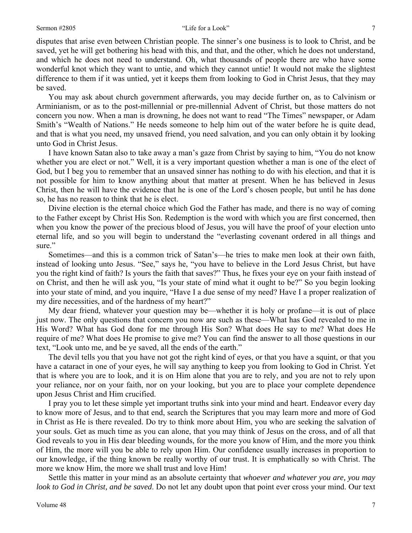disputes that arise even between Christian people. The sinner's one business is to look to Christ, and be saved, yet he will get bothering his head with this, and that, and the other, which he does not understand, and which he does not need to understand. Oh, what thousands of people there are who have some wonderful knot which they want to untie, and which they cannot untie! It would not make the slightest difference to them if it was untied, yet it keeps them from looking to God in Christ Jesus, that they may be saved.

You may ask about church government afterwards, you may decide further on, as to Calvinism or Arminianism, or as to the post-millennial or pre-millennial Advent of Christ, but those matters do not concern you now. When a man is drowning, he does not want to read "The Times" newspaper, or Adam Smith's "Wealth of Nations." He needs someone to help him out of the water before he is quite dead, and that is what you need, my unsaved friend, you need salvation, and you can only obtain it by looking unto God in Christ Jesus.

I have known Satan also to take away a man's gaze from Christ by saying to him, "You do not know whether you are elect or not." Well, it is a very important question whether a man is one of the elect of God, but I beg you to remember that an unsaved sinner has nothing to do with his election, and that it is not possible for him to know anything about that matter at present. When he has believed in Jesus Christ, then he will have the evidence that he is one of the Lord's chosen people, but until he has done so, he has no reason to think that he is elect.

Divine election is the eternal choice which God the Father has made, and there is no way of coming to the Father except by Christ His Son. Redemption is the word with which you are first concerned, then when you know the power of the precious blood of Jesus, you will have the proof of your election unto eternal life, and so you will begin to understand the "everlasting covenant ordered in all things and sure."

Sometimes—and this is a common trick of Satan's—he tries to make men look at their own faith, instead of looking unto Jesus. "See," says he, "you have to believe in the Lord Jesus Christ, but have you the right kind of faith? Is yours the faith that saves?" Thus, he fixes your eye on your faith instead of on Christ, and then he will ask you, "Is your state of mind what it ought to be?" So you begin looking into your state of mind, and you inquire, "Have I a due sense of my need? Have I a proper realization of my dire necessities, and of the hardness of my heart?"

My dear friend, whatever your question may be—whether it is holy or profane—it is out of place just now. The only questions that concern you now are such as these—What has God revealed to me in His Word? What has God done for me through His Son? What does He say to me? What does He require of me? What does He promise to give me? You can find the answer to all those questions in our text, "Look unto me, and be ye saved, all the ends of the earth."

The devil tells you that you have not got the right kind of eyes, or that you have a squint, or that you have a cataract in one of your eyes, he will say anything to keep you from looking to God in Christ. Yet that is where you are to look, and it is on Him alone that you are to rely, and you are not to rely upon your reliance, nor on your faith, nor on your looking, but you are to place your complete dependence upon Jesus Christ and Him crucified.

I pray you to let these simple yet important truths sink into your mind and heart. Endeavor every day to know more of Jesus, and to that end, search the Scriptures that you may learn more and more of God in Christ as He is there revealed. Do try to think more about Him, you who are seeking the salvation of your souls. Get as much time as you can alone, that you may think of Jesus on the cross, and of all that God reveals to you in His dear bleeding wounds, for the more you know of Him, and the more you think of Him, the more will you be able to rely upon Him. Our confidence usually increases in proportion to our knowledge, if the thing known be really worthy of our trust. It is emphatically so with Christ. The more we know Him, the more we shall trust and love Him!

Settle this matter in your mind as an absolute certainty that *whoever and whatever you are, you may look to God in Christ, and be saved*. Do not let any doubt upon that point ever cross your mind. Our text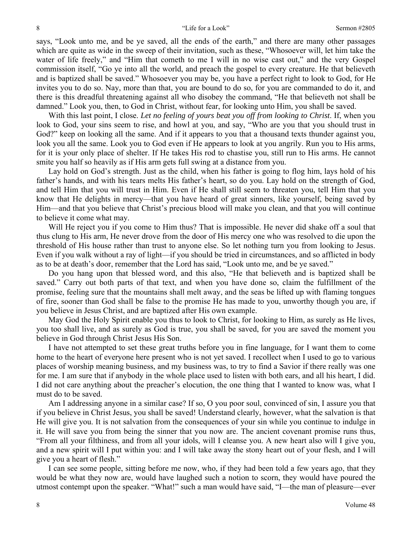says, "Look unto me, and be ye saved, all the ends of the earth," and there are many other passages which are quite as wide in the sweep of their invitation, such as these, "Whosoever will, let him take the water of life freely," and "Him that cometh to me I will in no wise cast out," and the very Gospel commission itself, "Go ye into all the world, and preach the gospel to every creature. He that believeth and is baptized shall be saved." Whosoever you may be, you have a perfect right to look to God, for He invites you to do so. Nay, more than that, you are bound to do so, for you are commanded to do it, and there is this dreadful threatening against all who disobey the command, "He that believeth not shall be damned." Look you, then, to God in Christ, without fear, for looking unto Him, you shall be saved.

With this last point, I close. *Let no feeling of yours beat you off from looking to Christ*. If, when you look to God, your sins seem to rise, and howl at you, and say, "Who are you that you should trust in God?" keep on looking all the same. And if it appears to you that a thousand texts thunder against you, look you all the same. Look you to God even if He appears to look at you angrily. Run you to His arms, for it is your only place of shelter. If He takes His rod to chastise you, still run to His arms. He cannot smite you half so heavily as if His arm gets full swing at a distance from you.

Lay hold on God's strength. Just as the child, when his father is going to flog him, lays hold of his father's hands, and with his tears melts His father's heart, so do you. Lay hold on the strength of God, and tell Him that you will trust in Him. Even if He shall still seem to threaten you, tell Him that you know that He delights in mercy—that you have heard of great sinners, like yourself, being saved by Him—and that you believe that Christ's precious blood will make you clean, and that you will continue to believe it come what may.

Will He reject you if you come to Him thus? That is impossible. He never did shake off a soul that thus clung to His arm, He never drove from the door of His mercy one who was resolved to die upon the threshold of His house rather than trust to anyone else. So let nothing turn you from looking to Jesus. Even if you walk without a ray of light—if you should be tried in circumstances, and so afflicted in body as to be at death's door, remember that the Lord has said, "Look unto me, and be ye saved."

Do you hang upon that blessed word, and this also, "He that believeth and is baptized shall be saved." Carry out both parts of that text, and when you have done so, claim the fulfillment of the promise, feeling sure that the mountains shall melt away, and the seas be lifted up with flaming tongues of fire, sooner than God shall be false to the promise He has made to you, unworthy though you are, if you believe in Jesus Christ, and are baptized after His own example.

May God the Holy Spirit enable you thus to look to Christ, for looking to Him, as surely as He lives, you too shall live, and as surely as God is true, you shall be saved, for you are saved the moment you believe in God through Christ Jesus His Son.

I have not attempted to set these great truths before you in fine language, for I want them to come home to the heart of everyone here present who is not yet saved. I recollect when I used to go to various places of worship meaning business, and my business was, to try to find a Savior if there really was one for me. I am sure that if anybody in the whole place used to listen with both ears, and all his heart, I did. I did not care anything about the preacher's elocution, the one thing that I wanted to know was, what I must do to be saved.

Am I addressing anyone in a similar case? If so, O you poor soul, convinced of sin, I assure you that if you believe in Christ Jesus, you shall be saved! Understand clearly, however, what the salvation is that He will give you. It is not salvation from the consequences of your sin while you continue to indulge in it. He will save you from being the sinner that you now are. The ancient covenant promise runs thus, "From all your filthiness, and from all your idols, will I cleanse you. A new heart also will I give you, and a new spirit will I put within you: and I will take away the stony heart out of your flesh, and I will give you a heart of flesh."

I can see some people, sitting before me now, who, if they had been told a few years ago, that they would be what they now are, would have laughed such a notion to scorn, they would have poured the utmost contempt upon the speaker. "What!" such a man would have said, "I—the man of pleasure—ever